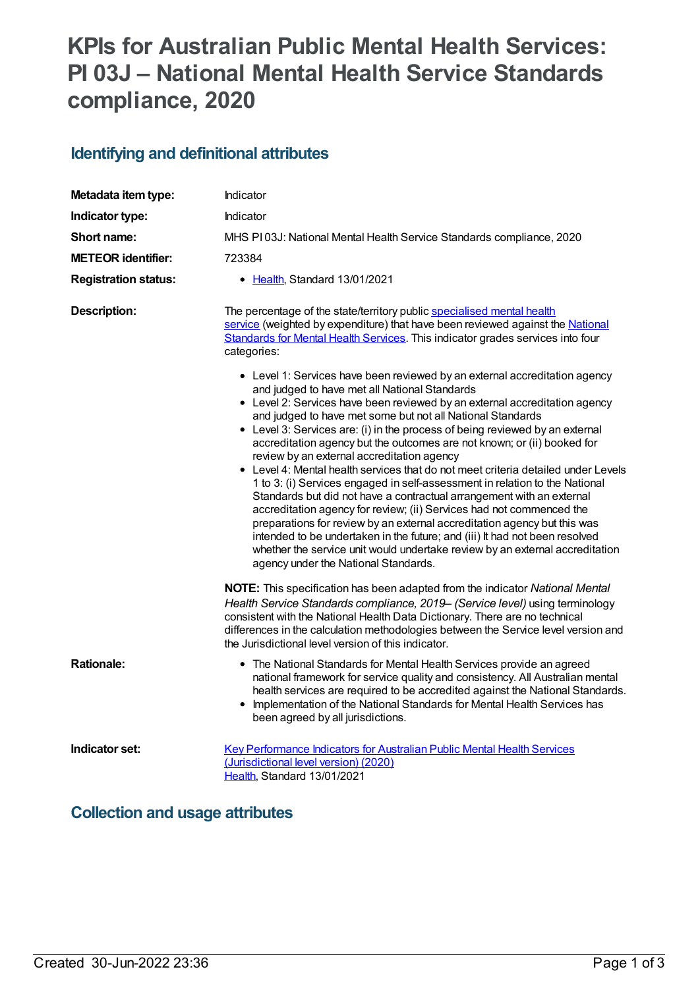# **KPIs for Australian Public Mental Health Services: PI 03J – National Mental Health Service Standards compliance, 2020**

### **Identifying and definitional attributes**

| Metadata item type:         | Indicator                                                                                                                                                                                                                                                                                                                                                                                                                                                                                                                                                                                                                                                                                                                                                                                                                                                                                                                                                 |
|-----------------------------|-----------------------------------------------------------------------------------------------------------------------------------------------------------------------------------------------------------------------------------------------------------------------------------------------------------------------------------------------------------------------------------------------------------------------------------------------------------------------------------------------------------------------------------------------------------------------------------------------------------------------------------------------------------------------------------------------------------------------------------------------------------------------------------------------------------------------------------------------------------------------------------------------------------------------------------------------------------|
| Indicator type:             | Indicator                                                                                                                                                                                                                                                                                                                                                                                                                                                                                                                                                                                                                                                                                                                                                                                                                                                                                                                                                 |
| Short name:                 | MHS PI03J: National Mental Health Service Standards compliance, 2020                                                                                                                                                                                                                                                                                                                                                                                                                                                                                                                                                                                                                                                                                                                                                                                                                                                                                      |
| <b>METEOR identifier:</b>   | 723384                                                                                                                                                                                                                                                                                                                                                                                                                                                                                                                                                                                                                                                                                                                                                                                                                                                                                                                                                    |
| <b>Registration status:</b> | • Health, Standard 13/01/2021                                                                                                                                                                                                                                                                                                                                                                                                                                                                                                                                                                                                                                                                                                                                                                                                                                                                                                                             |
| <b>Description:</b>         | The percentage of the state/territory public specialised mental health<br>service (weighted by expenditure) that have been reviewed against the National<br>Standards for Mental Health Services. This indicator grades services into four<br>categories:<br>• Level 1: Services have been reviewed by an external accreditation agency<br>and judged to have met all National Standards                                                                                                                                                                                                                                                                                                                                                                                                                                                                                                                                                                  |
|                             | • Level 2: Services have been reviewed by an external accreditation agency<br>and judged to have met some but not all National Standards<br>• Level 3: Services are: (i) in the process of being reviewed by an external<br>accreditation agency but the outcomes are not known; or (ii) booked for<br>review by an external accreditation agency<br>• Level 4: Mental health services that do not meet criteria detailed under Levels<br>1 to 3: (i) Services engaged in self-assessment in relation to the National<br>Standards but did not have a contractual arrangement with an external<br>accreditation agency for review; (ii) Services had not commenced the<br>preparations for review by an external accreditation agency but this was<br>intended to be undertaken in the future; and (iii) It had not been resolved<br>whether the service unit would undertake review by an external accreditation<br>agency under the National Standards. |
|                             | NOTE: This specification has been adapted from the indicator National Mental<br>Health Service Standards compliance, 2019 - (Service level) using terminology<br>consistent with the National Health Data Dictionary. There are no technical<br>differences in the calculation methodologies between the Service level version and<br>the Jurisdictional level version of this indicator.                                                                                                                                                                                                                                                                                                                                                                                                                                                                                                                                                                 |
| <b>Rationale:</b>           | • The National Standards for Mental Health Services provide an agreed<br>national framework for service quality and consistency. All Australian mental<br>health services are required to be accredited against the National Standards.<br>Implementation of the National Standards for Mental Health Services has<br>$\bullet$<br>been agreed by all jurisdictions.                                                                                                                                                                                                                                                                                                                                                                                                                                                                                                                                                                                      |
| Indicator set:              | <b>Key Performance Indicators for Australian Public Mental Health Services</b><br>(Jurisdictional level version) (2020)<br>Health, Standard 13/01/2021                                                                                                                                                                                                                                                                                                                                                                                                                                                                                                                                                                                                                                                                                                                                                                                                    |

### **Collection and usage attributes**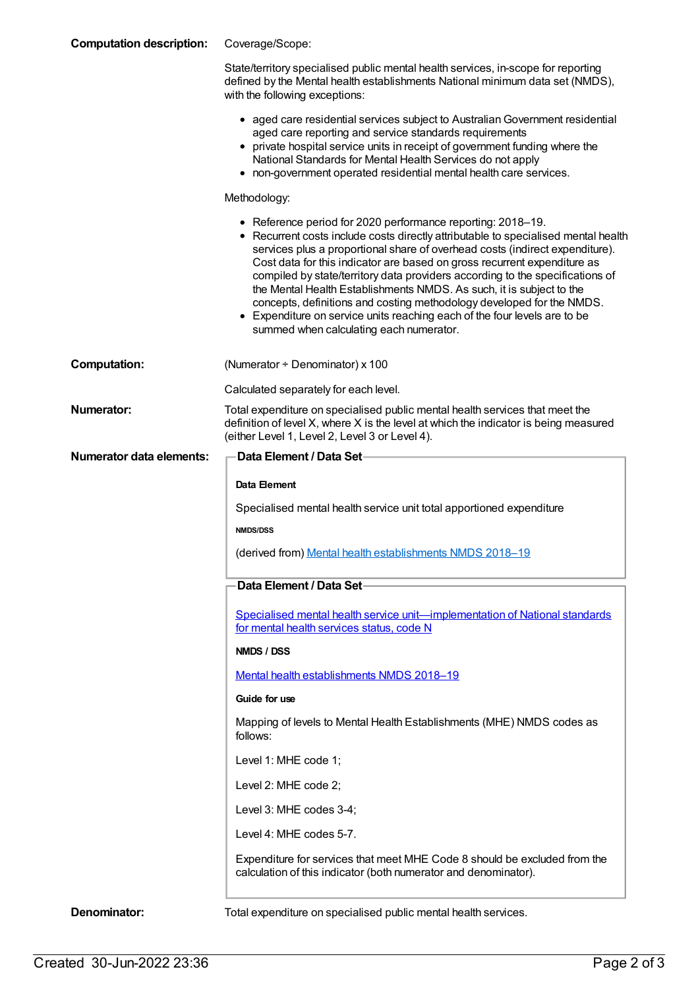| <b>Computation description:</b> | Coverage/Scope:                                                                                                                                                                                                                                                                                                                                                                                                                                                                                                                                                                                                                                                         |
|---------------------------------|-------------------------------------------------------------------------------------------------------------------------------------------------------------------------------------------------------------------------------------------------------------------------------------------------------------------------------------------------------------------------------------------------------------------------------------------------------------------------------------------------------------------------------------------------------------------------------------------------------------------------------------------------------------------------|
|                                 | State/territory specialised public mental health services, in-scope for reporting<br>defined by the Mental health establishments National minimum data set (NMDS),<br>with the following exceptions:                                                                                                                                                                                                                                                                                                                                                                                                                                                                    |
|                                 | • aged care residential services subject to Australian Government residential<br>aged care reporting and service standards requirements<br>• private hospital service units in receipt of government funding where the<br>National Standards for Mental Health Services do not apply<br>• non-government operated residential mental health care services.                                                                                                                                                                                                                                                                                                              |
|                                 | Methodology:                                                                                                                                                                                                                                                                                                                                                                                                                                                                                                                                                                                                                                                            |
|                                 | • Reference period for 2020 performance reporting: 2018-19.<br>• Recurrent costs include costs directly attributable to specialised mental health<br>services plus a proportional share of overhead costs (indirect expenditure).<br>Cost data for this indicator are based on gross recurrent expenditure as<br>compiled by state/territory data providers according to the specifications of<br>the Mental Health Establishments NMDS. As such, it is subject to the<br>concepts, definitions and costing methodology developed for the NMDS.<br>• Expenditure on service units reaching each of the four levels are to be<br>summed when calculating each numerator. |
| <b>Computation:</b>             | (Numerator + Denominator) x 100                                                                                                                                                                                                                                                                                                                                                                                                                                                                                                                                                                                                                                         |
|                                 | Calculated separately for each level.                                                                                                                                                                                                                                                                                                                                                                                                                                                                                                                                                                                                                                   |
| <b>Numerator:</b>               | Total expenditure on specialised public mental health services that meet the<br>definition of level X, where X is the level at which the indicator is being measured<br>(either Level 1, Level 2, Level 3 or Level 4).                                                                                                                                                                                                                                                                                                                                                                                                                                                  |
| <b>Numerator data elements:</b> | <b>Data Element / Data Set-</b>                                                                                                                                                                                                                                                                                                                                                                                                                                                                                                                                                                                                                                         |
|                                 | Data Element                                                                                                                                                                                                                                                                                                                                                                                                                                                                                                                                                                                                                                                            |
|                                 | Specialised mental health service unit total apportioned expenditure                                                                                                                                                                                                                                                                                                                                                                                                                                                                                                                                                                                                    |
|                                 | <b>NMDS/DSS</b>                                                                                                                                                                                                                                                                                                                                                                                                                                                                                                                                                                                                                                                         |
|                                 | (derived from) Mental health establishments NMDS 2018-19                                                                                                                                                                                                                                                                                                                                                                                                                                                                                                                                                                                                                |
|                                 | Data Element / Data Set                                                                                                                                                                                                                                                                                                                                                                                                                                                                                                                                                                                                                                                 |
|                                 | Specialised mental health service unit-implementation of National standards<br>for mental health services status, code N                                                                                                                                                                                                                                                                                                                                                                                                                                                                                                                                                |
|                                 | NMDS / DSS                                                                                                                                                                                                                                                                                                                                                                                                                                                                                                                                                                                                                                                              |
|                                 | Mental health establishments NMDS 2018-19                                                                                                                                                                                                                                                                                                                                                                                                                                                                                                                                                                                                                               |
|                                 | Guide for use                                                                                                                                                                                                                                                                                                                                                                                                                                                                                                                                                                                                                                                           |
|                                 | Mapping of levels to Mental Health Establishments (MHE) NMDS codes as<br>follows:                                                                                                                                                                                                                                                                                                                                                                                                                                                                                                                                                                                       |
|                                 | Level 1: MHE code 1;                                                                                                                                                                                                                                                                                                                                                                                                                                                                                                                                                                                                                                                    |
|                                 | Level 2: MHE code 2;                                                                                                                                                                                                                                                                                                                                                                                                                                                                                                                                                                                                                                                    |
|                                 | Level 3: MHE codes 3-4;                                                                                                                                                                                                                                                                                                                                                                                                                                                                                                                                                                                                                                                 |
|                                 | Level 4: MHE codes 5-7.                                                                                                                                                                                                                                                                                                                                                                                                                                                                                                                                                                                                                                                 |
|                                 | Expenditure for services that meet MHE Code 8 should be excluded from the<br>calculation of this indicator (both numerator and denominator).                                                                                                                                                                                                                                                                                                                                                                                                                                                                                                                            |
| Denominator:                    | Total expenditure on specialised public mental health services.                                                                                                                                                                                                                                                                                                                                                                                                                                                                                                                                                                                                         |